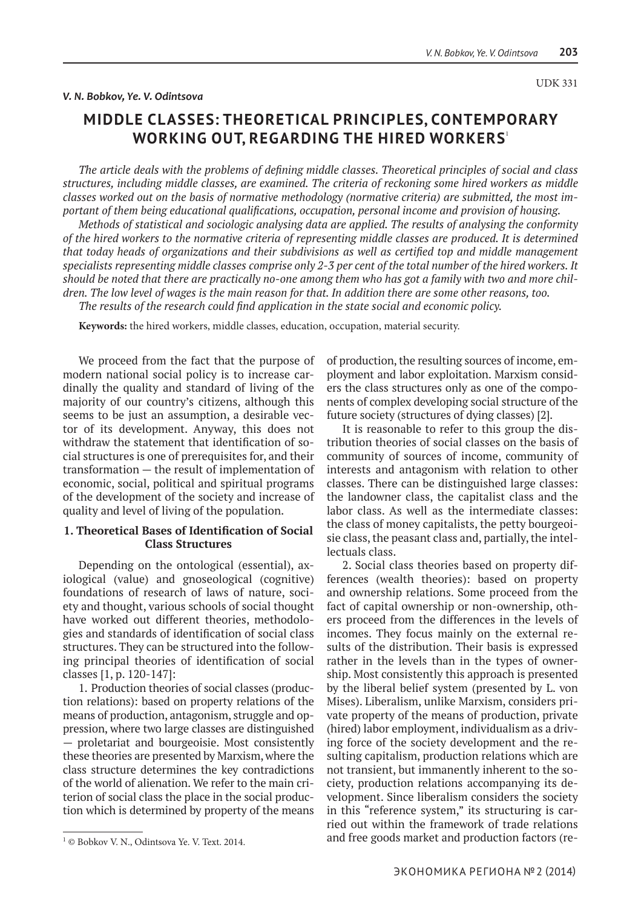*V. N. Bobkov, Ye. V. Odintsova*

# **MIDDLE CLASSES: THEORETICAL PRINCIPLES, CONTEMPORARY WORKING OUT, REGARDING THE HIRED WORKERS**<sup>1</sup>

*The article deals with the problems of defining middle classes. Theoretical principles of social and class structures, including middle classes, are examined. The criteria of reckoning some hired workers as middle classes worked out on the basis of normative methodology (normative criteria) are submitted, the most important of them being educational qualifications, occupation, personal income and provision of housing.* 

*Methods of statistical and sociologic analysing data are applied. The results of analysing the conformity of the hired workers to the normative criteria of representing middle classes are produced. It is determined that today heads of organizations and their subdivisions as well as certified top and middle management specialists representing middle classes comprise only 2-3 per cent of the total number of the hired workers. It should be noted that there are practically no-one among them who has got a family with two and more children. The low level of wages is the main reason for that. In addition there are some other reasons, too. The results of the research could find application in the state social and economic policy.*

**Keywords:** the hired workers, middle classes, education, occupation, material security.

We proceed from the fact that the purpose of modern national social policy is to increase cardinally the quality and standard of living of the majority of our country's citizens, although this seems to be just an assumption, a desirable vector of its development. Anyway, this does not withdraw the statement that identification of social structures is one of prerequisites for, and their transformation — the result of implementation of economic, social, political and spiritual programs of the development of the society and increase of quality and level of living of the population.

# **1. Theoretical Bases of Identification of Social Class Structures**

Depending on the ontological (essential), axiological (value) and gnoseological (cognitive) foundations of research of laws of nature, society and thought, various schools of social thought have worked out different theories, methodologies and standards of identification of social class structures. They can be structured into the following principal theories of identification of social classes [1, p. 120-147]:

1. Production theories of social classes (production relations): based on property relations of the means of production, antagonism, struggle and oppression, where two large classes are distinguished — proletariat and bourgeoisie. Most consistently these theories are presented by Marxism, where the class structure determines the key contradictions of the world of alienation. We refer to the main criterion of social class the place in the social production which is determined by property of the means of production, the resulting sources of income, employment and labor exploitation. Marxism considers the class structures only as one of the components of complex developing social structure of the future society (structures of dying classes) [2].

It is reasonable to refer to this group the distribution theories of social classes on the basis of community of sources of income, community of interests and antagonism with relation to other classes. There can be distinguished large classes: the landowner class, the capitalist class and the labor class. As well as the intermediate classes: the class of money capitalists, the petty bourgeoisie class, the peasant class and, partially, the intellectuals class.

2. Social class theories based on property differences (wealth theories): based on property and ownership relations. Some proceed from the fact of capital ownership or non-ownership, others proceed from the differences in the levels of incomes. They focus mainly on the external results of the distribution. Their basis is expressed rather in the levels than in the types of ownership. Most consistently this approach is presented by the liberal belief system (presented by L. von Mises). Liberalism, unlike Marxism, considers private property of the means of production, private (hired) labor employment, individualism as a driving force of the society development and the resulting capitalism, production relations which are not transient, but immanently inherent to the society, production relations accompanying its development. Since liberalism considers the society in this "reference system," its structuring is carried out within the framework of trade relations and free goods market and production factors (re-

UDK 331

<sup>1</sup> © Bobkov V. N., Odintsova Ye. V. Text. 2014.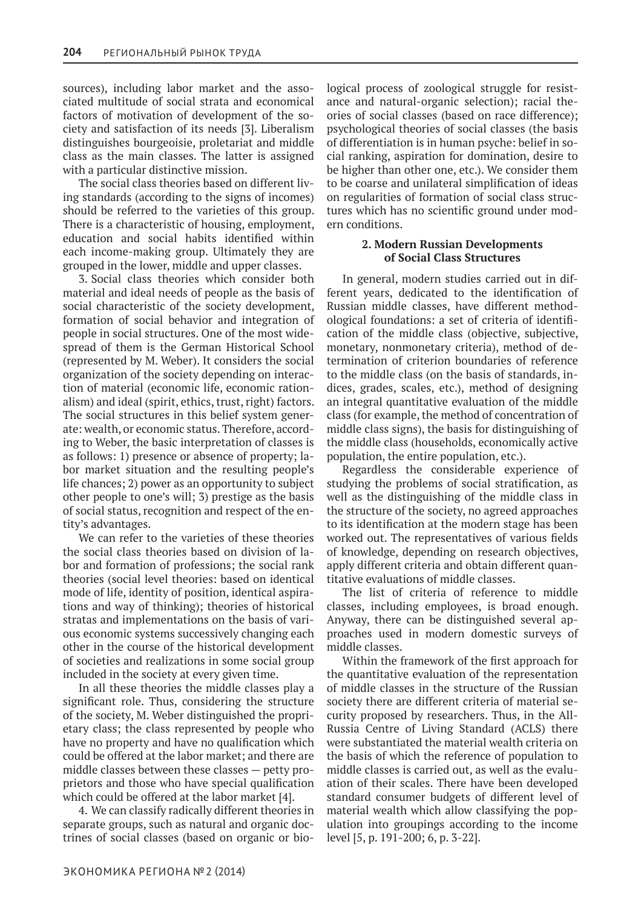sources), including labor market and the associated multitude of social strata and economical factors of motivation of development of the society and satisfaction of its needs [3]. Liberalism distinguishes bourgeoisie, proletariat and middle class as the main classes. The latter is assigned with a particular distinctive mission.

The social class theories based on different living standards (according to the signs of incomes) should be referred to the varieties of this group. There is a characteristic of housing, employment, education and social habits identified within each income-making group. Ultimately they are grouped in the lower, middle and upper classes.

3. Social class theories which consider both material and ideal needs of people as the basis of social characteristic of the society development, formation of social behavior and integration of people in social structures. One of the most widespread of them is the German Historical School (represented by M. Weber). It considers the social organization of the society depending on interaction of material (economic life, economic rationalism) and ideal (spirit, ethics, trust, right) factors. The social structures in this belief system generate: wealth, or economic status. Therefore, according to Weber, the basic interpretation of classes is as follows: 1) presence or absence of property; labor market situation and the resulting people's life chances; 2) power as an opportunity to subject other people to one's will; 3) prestige as the basis of social status, recognition and respect of the entity's advantages.

We can refer to the varieties of these theories the social class theories based on division of labor and formation of professions; the social rank theories (social level theories: based on identical mode of life, identity of position, identical aspirations and way of thinking); theories of historical stratas and implementations on the basis of various economic systems successively changing each other in the course of the historical development of societies and realizations in some social group included in the society at every given time.

In all these theories the middle classes play a significant role. Thus, considering the structure of the society, M. Weber distinguished the proprietary class; the class represented by people who have no property and have no qualification which could be offered at the labor market; and there are middle classes between these classes — petty proprietors and those who have special qualification which could be offered at the labor market [4].

4. We can classify radically different theories in separate groups, such as natural and organic doctrines of social classes (based on organic or biological process of zoological struggle for resistance and natural-organic selection); racial theories of social classes (based on race difference); psychological theories of social classes (the basis of differentiation is in human psyche: belief in social ranking, aspiration for domination, desire to be higher than other one, etc.). We consider them to be coarse and unilateral simplification of ideas on regularities of formation of social class structures which has no scientific ground under modern conditions.

## **2. Modern Russian Developments of Social Class Structures**

In general, modern studies carried out in different years, dedicated to the identification of Russian middle classes, have different methodological foundations: a set of criteria of identification of the middle class (objective, subjective, monetary, nonmonetary criteria), method of determination of criterion boundaries of reference to the middle class (on the basis of standards, indices, grades, scales, etc.), method of designing an integral quantitative evaluation of the middle class (for example, the method of concentration of middle class signs), the basis for distinguishing of the middle class (households, economically active population, the entire population, etc.).

Regardless the considerable experience of studying the problems of social stratification, as well as the distinguishing of the middle class in the structure of the society, no agreed approaches to its identification at the modern stage has been worked out. The representatives of various fields of knowledge, depending on research objectives, apply different criteria and obtain different quantitative evaluations of middle classes.

The list of criteria of reference to middle classes, including employees, is broad enough. Anyway, there can be distinguished several approaches used in modern domestic surveys of middle classes.

Within the framework of the first approach for the quantitative evaluation of the representation of middle classes in the structure of the Russian society there are different criteria of material security proposed by researchers. Thus, in the All-Russia Centre of Living Standard (ACLS) there were substantiated the material wealth criteria on the basis of which the reference of population to middle classes is carried out, as well as the evaluation of their scales. There have been developed standard consumer budgets of different level of material wealth which allow classifying the population into groupings according to the income level [5, p. 191-200; 6, p. 3-22].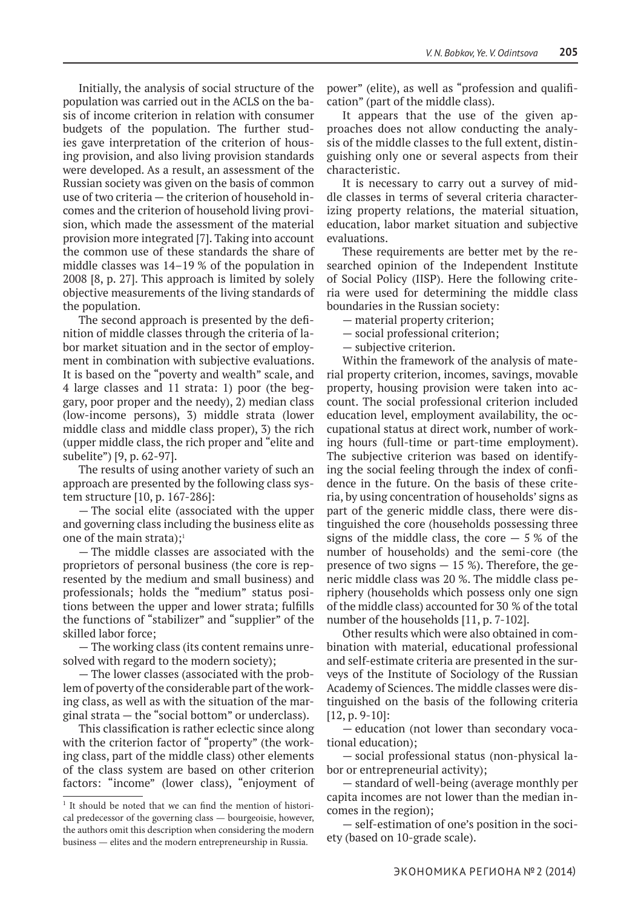Initially, the analysis of social structure of the population was carried out in the ACLS on the basis of income criterion in relation with consumer budgets of the population. The further studies gave interpretation of the criterion of housing provision, and also living provision standards were developed. As a result, an assessment of the Russian society was given on the basis of common use of two criteria — the criterion of household incomes and the criterion of household living provision, which made the assessment of the material provision more integrated [7]. Taking into account the common use of these standards the share of middle classes was 14–19 % of the population in 2008 [8, p. 27]. This approach is limited by solely objective measurements of the living standards of the population.

The second approach is presented by the definition of middle classes through the criteria of labor market situation and in the sector of employment in combination with subjective evaluations. It is based on the "poverty and wealth" scale, and 4 large classes and 11 strata: 1) poor (the beggary, poor proper and the needy), 2) median class (low-income persons), 3) middle strata (lower middle class and middle class proper), 3) the rich (upper middle class, the rich proper and "elite and subelite") [9, p. 62-97].

The results of using another variety of such an approach are presented by the following class system structure [10, p. 167-286]:

— The social elite (associated with the upper and governing class including the business elite as one of the main strata);<sup>1</sup>

— The middle classes are associated with the proprietors of personal business (the core is represented by the medium and small business) and professionals; holds the "medium" status positions between the upper and lower strata; fulfills the functions of "stabilizer" and "supplier" of the skilled labor force;

— The working class (its content remains unresolved with regard to the modern society);

— The lower classes (associated with the problem of poverty of the considerable part of the working class, as well as with the situation of the marginal strata — the "social bottom" or underclass).

This classification is rather eclectic since along with the criterion factor of "property" (the working class, part of the middle class) other elements of the class system are based on other criterion factors: "income" (lower class), "enjoyment of power" (elite), as well as "profession and qualification" (part of the middle class).

It appears that the use of the given approaches does not allow conducting the analysis of the middle classes to the full extent, distinguishing only one or several aspects from their characteristic.

It is necessary to carry out a survey of middle classes in terms of several criteria characterizing property relations, the material situation, education, labor market situation and subjective evaluations.

These requirements are better met by the researched opinion of the Independent Institute of Social Policy (IISP). Here the following criteria were used for determining the middle class boundaries in the Russian society:

— material property criterion;

- social professional criterion;
- subjective criterion.

Within the framework of the analysis of material property criterion, incomes, savings, movable property, housing provision were taken into account. The social professional criterion included education level, employment availability, the occupational status at direct work, number of working hours (full-time or part-time employment). The subjective criterion was based on identifying the social feeling through the index of confidence in the future. On the basis of these criteria, by using concentration of households' signs as part of the generic middle class, there were distinguished the core (households possessing three signs of the middle class, the core  $-5\%$  of the number of households) and the semi-core (the presence of two signs  $-15$  %). Therefore, the generic middle class was 20 %. The middle class periphery (households which possess only one sign of the middle class) accounted for 30 % of the total number of the households [11, p. 7-102].

Other results which were also obtained in combination with material, educational professional and self-estimate criteria are presented in the surveys of the Institute of Sociology of the Russian Academy of Sciences. The middle classes were distinguished on the basis of the following criteria [12, p. 9-10]:

— education (not lower than secondary vocational education);

— social professional status (non-physical labor or entrepreneurial activity);

— standard of well-being (average monthly per capita incomes are not lower than the median incomes in the region);

— self-estimation of one's position in the society (based on 10-grade scale).

<sup>&</sup>lt;sup>1</sup> It should be noted that we can find the mention of historical predecessor of the governing class — bourgeoisie, however, the authors omit this description when considering the modern business — elites and the modern entrepreneurship in Russia.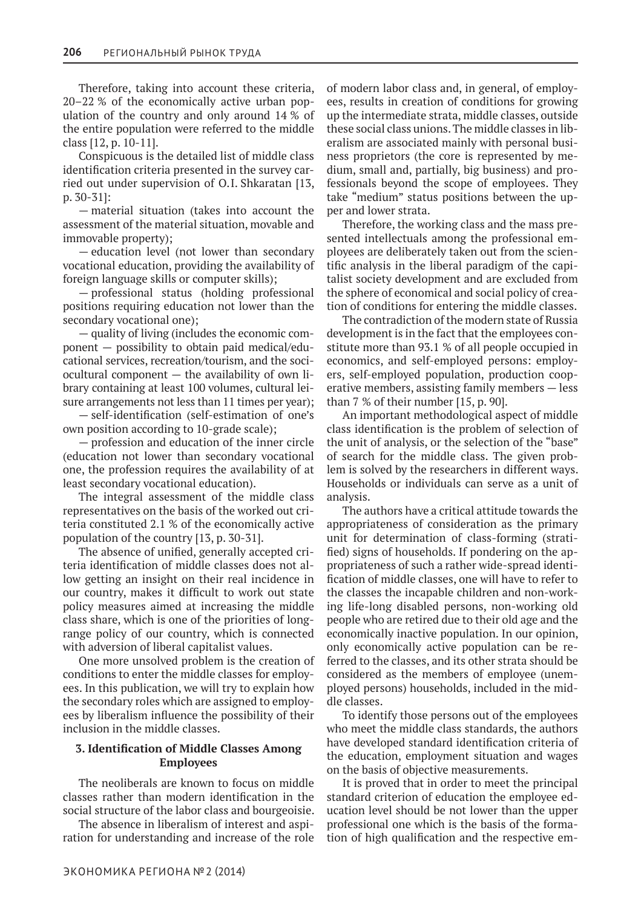Therefore, taking into account these criteria, 20–22 % of the economically active urban population of the country and only around 14 % of the entire population were referred to the middle class [12, p. 10-11].

Conspicuous is the detailed list of middle class identification criteria presented in the survey carried out under supervision of O.I. Shkaratan [13, p. 30-31]:

— material situation (takes into account the assessment of the material situation, movable and immovable property);

— education level (not lower than secondary vocational education, providing the availability of foreign language skills or computer skills);

— professional status (holding professional positions requiring education not lower than the secondary vocational one);

— quality of living (includes the economic component — possibility to obtain paid medical/educational services, recreation/tourism, and the sociocultural component  $-$  the availability of own library containing at least 100 volumes, cultural leisure arrangements not less than 11 times per year);

— self-identification (self-estimation of one's own position according to 10-grade scale);

— profession and education of the inner circle (education not lower than secondary vocational one, the profession requires the availability of at least secondary vocational education).

The integral assessment of the middle class representatives on the basis of the worked out criteria constituted 2.1 % of the economically active population of the country [13, p. 30-31].

The absence of unified, generally accepted criteria identification of middle classes does not allow getting an insight on their real incidence in our country, makes it difficult to work out state policy measures aimed at increasing the middle class share, which is one of the priorities of longrange policy of our country, which is connected with adversion of liberal capitalist values.

One more unsolved problem is the creation of conditions to enter the middle classes for employees. In this publication, we will try to explain how the secondary roles which are assigned to employees by liberalism influence the possibility of their inclusion in the middle classes.

## **3. Identification of Middle Classes Among Employees**

The neoliberals are known to focus on middle classes rather than modern identification in the social structure of the labor class and bourgeoisie.

The absence in liberalism of interest and aspiration for understanding and increase of the role of modern labor class and, in general, of employees, results in creation of conditions for growing up the intermediate strata, middle classes, outside these social class unions. The middle classes in liberalism are associated mainly with personal business proprietors (the core is represented by medium, small and, partially, big business) and professionals beyond the scope of employees. They take "medium" status positions between the upper and lower strata.

Therefore, the working class and the mass presented intellectuals among the professional employees are deliberately taken out from the scientific analysis in the liberal paradigm of the capitalist society development and are excluded from the sphere of economical and social policy of creation of conditions for entering the middle classes.

The contradiction of the modern state of Russia development is in the fact that the employees constitute more than 93.1 % of all people occupied in economics, and self-employed persons: employers, self-employed population, production cooperative members, assisting family members — less than 7 % of their number [15, p. 90].

An important methodological aspect of middle class identification is the problem of selection of the unit of analysis, or the selection of the "base" of search for the middle class. The given problem is solved by the researchers in different ways. Households or individuals can serve as a unit of analysis.

The authors have a critical attitude towards the appropriateness of consideration as the primary unit for determination of class-forming (stratified) signs of households. If pondering on the appropriateness of such a rather wide-spread identification of middle classes, one will have to refer to the classes the incapable children and non-working life-long disabled persons, non-working old people who are retired due to their old age and the economically inactive population. In our opinion, only economically active population can be referred to the classes, and its other strata should be considered as the members of employee (unemployed persons) households, included in the middle classes.

To identify those persons out of the employees who meet the middle class standards, the authors have developed standard identification criteria of the education, employment situation and wages on the basis of objective measurements.

It is proved that in order to meet the principal standard criterion of education the employee education level should be not lower than the upper professional one which is the basis of the formation of high qualification and the respective em-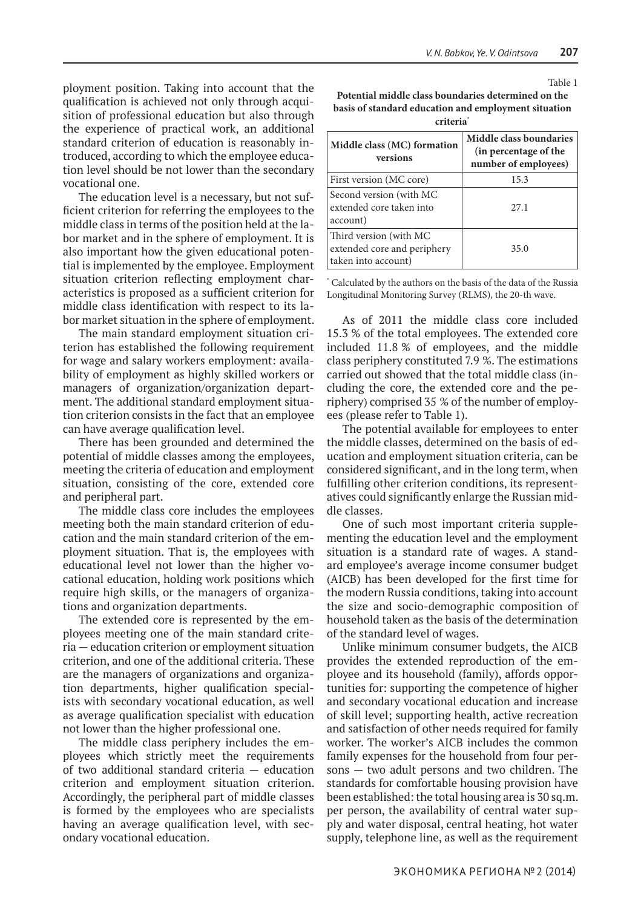Table 1

ployment position. Taking into account that the qualification is achieved not only through acquisition of professional education but also through the experience of practical work, an additional standard criterion of education is reasonably introduced, according to which the employee education level should be not lower than the secondary vocational one.

The education level is a necessary, but not sufficient criterion for referring the employees to the middle class in terms of the position held at the labor market and in the sphere of employment. It is also important how the given educational potential is implemented by the employee. Employment situation criterion reflecting employment characteristics is proposed as a sufficient criterion for middle class identification with respect to its labor market situation in the sphere of employment.

The main standard employment situation criterion has established the following requirement for wage and salary workers employment: availability of employment as highly skilled workers or managers of organization/organization department. The additional standard employment situation criterion consists in the fact that an employee can have average qualification level.

There has been grounded and determined the potential of middle classes among the employees, meeting the criteria of education and employment situation, consisting of the core, extended core and peripheral part.

The middle class core includes the employees meeting both the main standard criterion of education and the main standard criterion of the employment situation. That is, the employees with educational level not lower than the higher vocational education, holding work positions which require high skills, or the managers of organizations and organization departments.

The extended core is represented by the employees meeting one of the main standard criteria — education criterion or employment situation criterion, and one of the additional criteria. These are the managers of organizations and organization departments, higher qualification specialists with secondary vocational education, as well as average qualification specialist with education not lower than the higher professional one.

The middle class periphery includes the employees which strictly meet the requirements of two additional standard criteria — education criterion and employment situation criterion. Accordingly, the peripheral part of middle classes is formed by the employees who are specialists having an average qualification level, with secondary vocational education.

**Potential middle class boundaries determined on the basis of standard education and employment situation criteria**\*

| Middle class (MC) formation<br>versions                                      | Middle class boundaries<br>(in percentage of the<br>number of employees) |  |  |  |
|------------------------------------------------------------------------------|--------------------------------------------------------------------------|--|--|--|
| First version (MC core)                                                      | 15.3                                                                     |  |  |  |
| Second version (with MC<br>extended core taken into<br>account)              | 2.7.1                                                                    |  |  |  |
| Third version (with MC<br>extended core and periphery<br>taken into account) | 35.0                                                                     |  |  |  |

\* Calculated by the authors on the basis of the data of the Russia Longitudinal Monitoring Survey (RLMS), the 20-th wave.

As of 2011 the middle class core included 15.3 % of the total employees. The extended core included 11.8 % of employees, and the middle class periphery constituted 7.9 %. The estimations carried out showed that the total middle class (including the core, the extended core and the periphery) comprised 35 % of the number of employees (please refer to Table 1).

The potential available for employees to enter the middle classes, determined on the basis of education and employment situation criteria, can be considered significant, and in the long term, when fulfilling other criterion conditions, its representatives could significantly enlarge the Russian middle classes.

One of such most important criteria supplementing the education level and the employment situation is a standard rate of wages. A standard employee's average income consumer budget (AICB) has been developed for the first time for the modern Russia conditions, taking into account the size and socio-demographic composition of household taken as the basis of the determination of the standard level of wages.

Unlike minimum consumer budgets, the AICB provides the extended reproduction of the employee and its household (family), affords opportunities for: supporting the competence of higher and secondary vocational education and increase of skill level; supporting health, active recreation and satisfaction of other needs required for family worker. The worker's AICB includes the common family expenses for the household from four persons — two adult persons and two children. The standards for comfortable housing provision have been established: the total housing area is 30 sq.m. per person, the availability of central water supply and water disposal, central heating, hot water supply, telephone line, as well as the requirement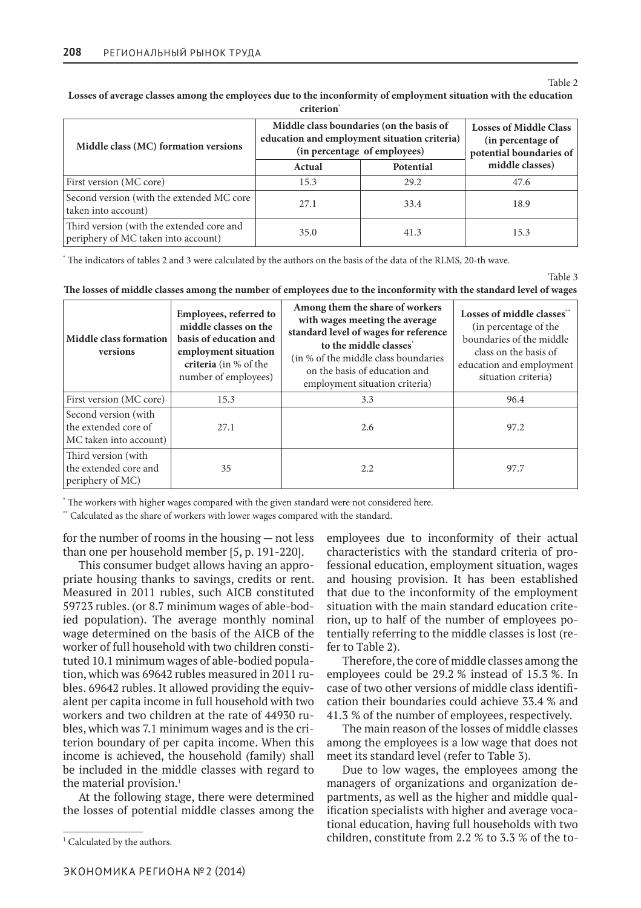## Table 2

| Losses of average classes among the employees due to the inconformity of employment situation with the education |
|------------------------------------------------------------------------------------------------------------------|
| criterion <sup>*</sup>                                                                                           |

| Middle class (MC) formation versions                                             | Middle class boundaries (on the basis of<br>education and employment situation criteria)<br>(in percentage of employees) |           | <b>Losses of Middle Class</b><br>(in percentage of<br>potential boundaries of |
|----------------------------------------------------------------------------------|--------------------------------------------------------------------------------------------------------------------------|-----------|-------------------------------------------------------------------------------|
|                                                                                  | Actual                                                                                                                   | Potential | middle classes)                                                               |
| First version (MC core)                                                          | 15.3                                                                                                                     | 29.2      | 47.6                                                                          |
| Second version (with the extended MC core<br>taken into account)                 | 27.1                                                                                                                     | 33.4      | 18.9                                                                          |
| Third version (with the extended core and<br>periphery of MC taken into account) | 35.0                                                                                                                     | 41.3      | 15.3                                                                          |

\* The indicators of tables 2 and 3 were calculated by the authors on the basis of the data of the RLMS, 20-th wave.

Table 3

#### **The losses of middle classes among the number of employees due to the inconformity with the standard level of wages**

| Middle class formation<br>versions                                     | Employees, referred to<br>middle classes on the<br>basis of education and<br>employment situation<br>criteria (in % of the<br>number of employees) | Among them the share of workers<br>with wages meeting the average<br>standard level of wages for reference<br>to the middle classes <sup>*</sup><br>(in % of the middle class boundaries)<br>on the basis of education and<br>employment situation criteria) | Losses of middle classes"<br>(in percentage of the<br>boundaries of the middle<br>class on the basis of<br>education and employment<br>situation criteria) |
|------------------------------------------------------------------------|----------------------------------------------------------------------------------------------------------------------------------------------------|--------------------------------------------------------------------------------------------------------------------------------------------------------------------------------------------------------------------------------------------------------------|------------------------------------------------------------------------------------------------------------------------------------------------------------|
| First version (MC core)                                                | 15.3                                                                                                                                               | 3.3                                                                                                                                                                                                                                                          | 96.4                                                                                                                                                       |
| Second version (with<br>the extended core of<br>MC taken into account) | 27.1                                                                                                                                               | 2.6                                                                                                                                                                                                                                                          | 97.2                                                                                                                                                       |
| Third version (with<br>the extended core and<br>periphery of MC)       | 35                                                                                                                                                 | 2.2                                                                                                                                                                                                                                                          | 97.7                                                                                                                                                       |

\* The workers with higher wages compared with the given standard were not considered here.

\*\* Calculated as the share of workers with lower wages compared with the standard.

for the number of rooms in the housing  $-$  not less than one per household member [5, p. 191-220].

This consumer budget allows having an appropriate housing thanks to savings, credits or rent. Measured in 2011 rubles, such AICB constituted 59723 rubles. (or 8.7 minimum wages of able-bodied population). The average monthly nominal wage determined on the basis of the AICB of the worker of full household with two children constituted 10.1 minimum wages of able-bodied population, which was 69642 rubles measured in 2011 rubles. 69642 rubles. It allowed providing the equivalent per capita income in full household with two workers and two children at the rate of 44930 rubles, which was 7.1 minimum wages and is the criterion boundary of per capita income. When this income is achieved, the household (family) shall be included in the middle classes with regard to the material provision.<sup>1</sup>

At the following stage, there were determined the losses of potential middle classes among the employees due to inconformity of their actual characteristics with the standard criteria of professional education, employment situation, wages and housing provision. It has been established that due to the inconformity of the employment situation with the main standard education criterion, up to half of the number of employees potentially referring to the middle classes is lost (refer to Table 2).

Therefore, the core of middle classes among the employees could be 29.2 % instead of 15.3 %. In case of two other versions of middle class identification their boundaries could achieve 33.4 % and 41.3 % of the number of employees, respectively.

The main reason of the losses of middle classes among the employees is a low wage that does not meet its standard level (refer to Table 3).

Due to low wages, the employees among the managers of organizations and organization departments, as well as the higher and middle qualification specialists with higher and average vocational education, having full households with two children, constitute from 2.2 % to 3.3 % of the to-

<sup>&</sup>lt;sup>1</sup> Calculated by the authors.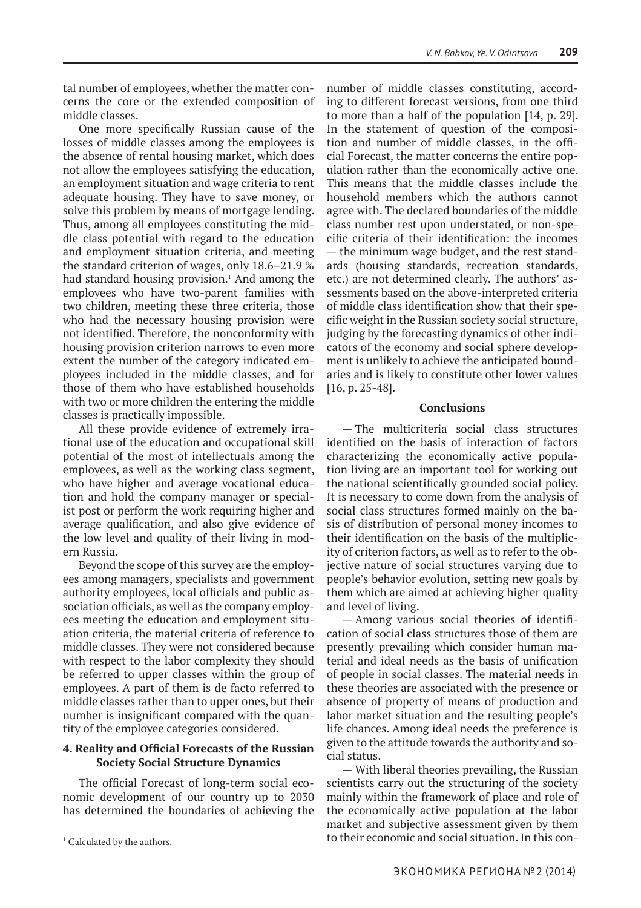tal number of employees, whether the matter concerns the core or the extended composition of middle classes.

One more specifically Russian cause of the losses of middle classes among the employees is the absence of rental housing market, which does not allow the employees satisfying the education, an employment situation and wage criteria to rent adequate housing. They have to save money, or solve this problem by means of mortgage lending. Thus, among all employees constituting the middle class potential with regard to the education and employment situation criteria, and meeting the standard criterion of wages, only 18.6–21.9 % had standard housing provision.<sup>1</sup> And among the employees who have two-parent families with two children, meeting these three criteria, those who had the necessary housing provision were not identified. Therefore, the nonconformity with housing provision criterion narrows to even more extent the number of the category indicated employees included in the middle classes, and for those of them who have established households with two or more children the entering the middle classes is practically impossible.

All these provide evidence of extremely irrational use of the education and occupational skill potential of the most of intellectuals among the employees, as well as the working class segment, who have higher and average vocational education and hold the company manager or specialist post or perform the work requiring higher and average qualification, and also give evidence of the low level and quality of their living in modern Russia.

Beyond the scope of this survey are the employees among managers, specialists and government authority employees, local officials and public association officials, as well as the company employees meeting the education and employment situation criteria, the material criteria of reference to middle classes. They were not considered because with respect to the labor complexity they should be referred to upper classes within the group of employees. A part of them is de facto referred to middle classes rather than to upper ones, but their number is insignificant compared with the quantity of the employee categories considered.

# **4. Reality and Official Forecasts of the Russian Society Social Structure Dynamics**

The official Forecast of long-term social economic development of our country up to 2030 has determined the boundaries of achieving the

number of middle classes constituting, according to different forecast versions, from one third to more than a half of the population [14, p. 29]. In the statement of question of the composition and number of middle classes, in the official Forecast, the matter concerns the entire population rather than the economically active one. This means that the middle classes include the household members which the authors cannot agree with. The declared boundaries of the middle class number rest upon understated, or non-specific criteria of their identification: the incomes — the minimum wage budget, and the rest standards (housing standards, recreation standards, etc.) are not determined clearly. The authors' assessments based on the above-interpreted criteria of middle class identification show that their specific weight in the Russian society social structure, judging by the forecasting dynamics of other indicators of the economy and social sphere development is unlikely to achieve the anticipated boundaries and is likely to constitute other lower values [16, p. 25-48].

## **Conclusions**

— The multicriteria social class structures identified on the basis of interaction of factors characterizing the economically active population living are an important tool for working out the national scientifically grounded social policy. It is necessary to come down from the analysis of social class structures formed mainly on the basis of distribution of personal money incomes to their identification on the basis of the multiplicity of criterion factors, as well as to refer to the objective nature of social structures varying due to people's behavior evolution, setting new goals by them which are aimed at achieving higher quality and level of living.

— Among various social theories of identification of social class structures those of them are presently prevailing which consider human material and ideal needs as the basis of unification of people in social classes. The material needs in these theories are associated with the presence or absence of property of means of production and labor market situation and the resulting people's life chances. Among ideal needs the preference is given to the attitude towards the authority and social status.

— With liberal theories prevailing, the Russian scientists carry out the structuring of the society mainly within the framework of place and role of the economically active population at the labor market and subjective assessment given by them to their economic and social situation. In this con-

<sup>&</sup>lt;sup>1</sup> Calculated by the authors.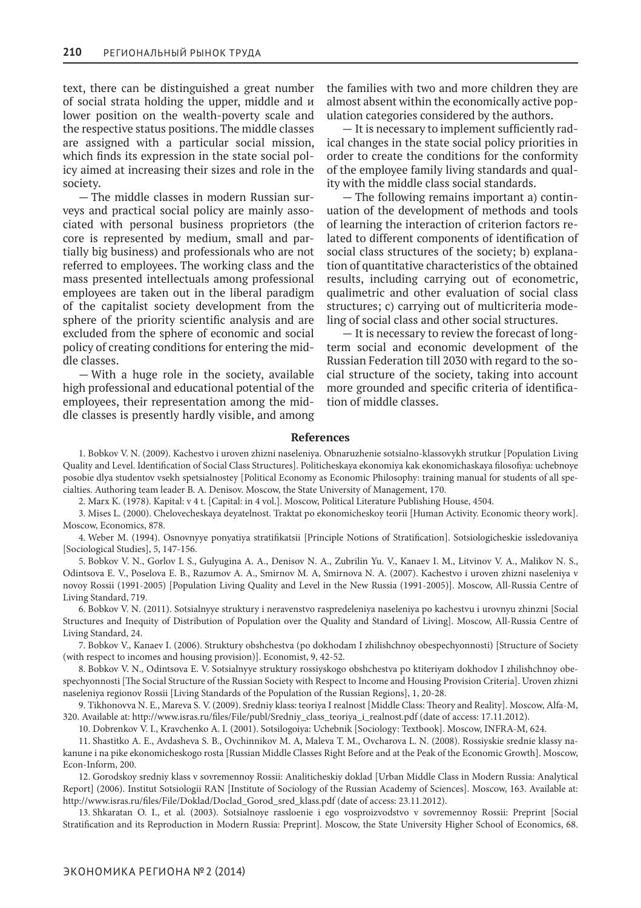text, there can be distinguished a great number of social strata holding the upper, middle and и lower position on the wealth-poverty scale and the respective status positions. The middle classes are assigned with a particular social mission, which finds its expression in the state social policy aimed at increasing their sizes and role in the society.

— The middle classes in modern Russian surveys and practical social policy are mainly associated with personal business proprietors (the core is represented by medium, small and partially big business) and professionals who are not referred to employees. The working class and the mass presented intellectuals among professional employees are taken out in the liberal paradigm of the capitalist society development from the sphere of the priority scientific analysis and are excluded from the sphere of economic and social policy of creating conditions for entering the middle classes.

— With a huge role in the society, available high professional and educational potential of the employees, their representation among the middle classes is presently hardly visible, and among the families with two and more children they are almost absent within the economically active population categories considered by the authors.

— It is necessary to implement sufficiently radical changes in the state social policy priorities in order to create the conditions for the conformity of the employee family living standards and quality with the middle class social standards.

— The following remains important a) continuation of the development of methods and tools of learning the interaction of criterion factors related to different components of identification of social class structures of the society; b) explanation of quantitative characteristics of the obtained results, including carrying out of econometric, qualimetric and other evaluation of social class structures; c) carrying out of multicriteria modeling of social class and other social structures.

— It is necessary to review the forecast of longterm social and economic development of the Russian Federation till 2030 with regard to the social structure of the society, taking into account more grounded and specific criteria of identification of middle classes.

#### **References**

1. Bobkov V. N. (2009). Kachestvo i uroven zhizni naseleniya. Obnaruzhenie sotsialno-klassovykh strutkur [Population Living Quality and Level. Identification of Social Class Structures]. Politicheskaya ekonomiya kak ekonomichaskaya filosofiya: uchebnoye posobie dlya studentov vsekh spetsialnostey [Political Economy as Economic Philosophy: training manual for students of all specialties. Authoring team leader B. A. Denisov. Moscow, the State University of Management, 170.

2. Marx K. (1978). Kapital: v 4 t. [Capital: in 4 vol.]. Moscow, Political Literature Publishing House, 4504.

3. Mises L. (2000). Chelovecheskaya deyatelnost. Traktat po ekonomicheskoy teorii [Human Activity. Economic theory work]. Moscow, Economics, 878.

4. Weber M. (1994). Osnovnyye ponyatiya stratifikatsii [Principle Notions of Stratification]. Sotsiologicheskie issledovaniya [Sociological Studies], 5, 147-156.

5. Bobkov V. N., Gorlov I. S., Gulyugina A. A., Denisov N. A., Zubrilin Yu. V., Kanaev I. M., Litvinov V. A., Malikov N. S., Odintsova E. V., Poselova E. B., Razumov A. A., Smirnov M. A, Smirnova N. A. (2007). Kachestvo i uroven zhizni naseleniya v novoy Rossii (1991-2005) [Population Living Quality and Level in the New Russia (1991-2005)]. Moscow, All-Russia Centre of Living Standard, 719.

6. Bobkov V. N. (2011). Sotsialnyye struktury i neravenstvo raspredeleniya naseleniya po kachestvu i urovnyu zhinzni [Social Structures and Inequity of Distribution of Population over the Quality and Standard of Living]. Moscow, All-Russia Centre of Living Standard, 24.

7. Bobkov V., Kanaev I. (2006). Struktury obshchestva (po dokhodam I zhilishchnoy obespechyonnosti) [Structure of Society (with respect to incomes and housing provision)]. Economist, 9, 42-52.

8. Bobkov V. N., Odintsova E. V. Sotsialnyye struktury rossiyskogo obshchestva po ktiteriyam dokhodov I zhilishchnoy obespechyonnosti [The Social Structure of the Russian Society with Respect to Income and Housing Provision Criteria]. Uroven zhizni naseleniya regionov Rossii [Living Standards of the Population of the Russian Regions], 1, 20-28.

9. Tikhonovva N. E., Mareva S. V. (2009). Sredniy klass: teoriya I realnost [Middle Class: Theory and Reality]. Moscow, Alfa-M, 320. Available at: http://www.isras.ru/files/File/publ/Sredniy\_class\_teoriya\_i\_realnost.pdf (date of access: 17.11.2012).

10. Dobrenkov V. I., Kravchenko A. I. (2001). Sotsilogoiya: Uchebnik [Sociology: Textbook]. Moscow, INFRA-M, 624.

11. Shastitko A. E., Avdasheva S. B., Ovchinnikov M. A, Maleva T. M., Ovcharova L. N. (2008). Rossiyskie srednie klassy nakanune i na pike ekonomicheskogo rosta [Russian Middle Classes Right Before and at the Peak of the Economic Growth]. Moscow, Econ-Inform, 200.

12. Gorodskoy sredniy klass v sovremennoy Rossii: Analiticheskiy doklad [Urban Middle Class in Modern Russia: Analytical Report] (2006). Institut Sotsiologii RAN [Institute of Sociology of the Russian Academy of Sciences]. Moscow, 163. Available at: http://www.isras.ru/files/File/Doklad/Doclad\_Gorod\_sred\_klass.pdf (date of access: 23.11.2012).

13. Shkaratan O. I., et al. (2003). Sotsialnoye rassloenie i ego vosproizvodstvo v sovremennoy Rossii: Preprint [Social Stratification and its Reproduction in Modern Russia: Preprint]. Moscow, the State University Higher School of Economics, 68.